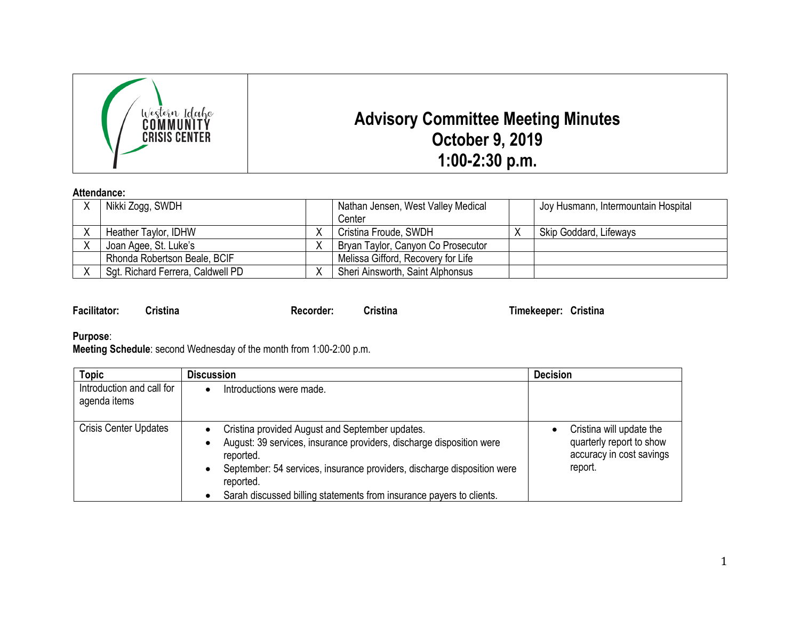

## **Attendance:**

| Nikki Zogg, SWDH                  | Nathan Jensen, West Valley Medical<br>Center | Joy Husmann, Intermountain Hospital |
|-----------------------------------|----------------------------------------------|-------------------------------------|
| Heather Taylor, IDHW              | Cristina Froude, SWDH                        | Skip Goddard, Lifeways              |
| Joan Agee, St. Luke's             | Bryan Taylor, Canyon Co Prosecutor           |                                     |
| Rhonda Robertson Beale, BCIF      | Melissa Gifford, Recovery for Life           |                                     |
| Sgt. Richard Ferrera, Caldwell PD | Sheri Ainsworth, Saint Alphonsus             |                                     |

| <b>Facilitator:</b> | <b>Cristina</b> |  |
|---------------------|-----------------|--|
|                     |                 |  |

**Facilitator: Cristina Recorder: Cristina Timekeeper: Cristina**

## **Purpose**:

**Meeting Schedule**: second Wednesday of the month from 1:00-2:00 p.m.

| <b>Topic</b>                              | <b>Discussion</b>                                                                                                                                                                                                                                                                                                              | <b>Decision</b>                                                                             |
|-------------------------------------------|--------------------------------------------------------------------------------------------------------------------------------------------------------------------------------------------------------------------------------------------------------------------------------------------------------------------------------|---------------------------------------------------------------------------------------------|
| Introduction and call for<br>agenda items | Introductions were made.                                                                                                                                                                                                                                                                                                       |                                                                                             |
| <b>Crisis Center Updates</b>              | Cristina provided August and September updates.<br>August: 39 services, insurance providers, discharge disposition were<br>$\bullet$<br>reported.<br>September: 54 services, insurance providers, discharge disposition were<br>$\bullet$<br>reported.<br>Sarah discussed billing statements from insurance payers to clients. | Cristina will update the<br>quarterly report to show<br>accuracy in cost savings<br>report. |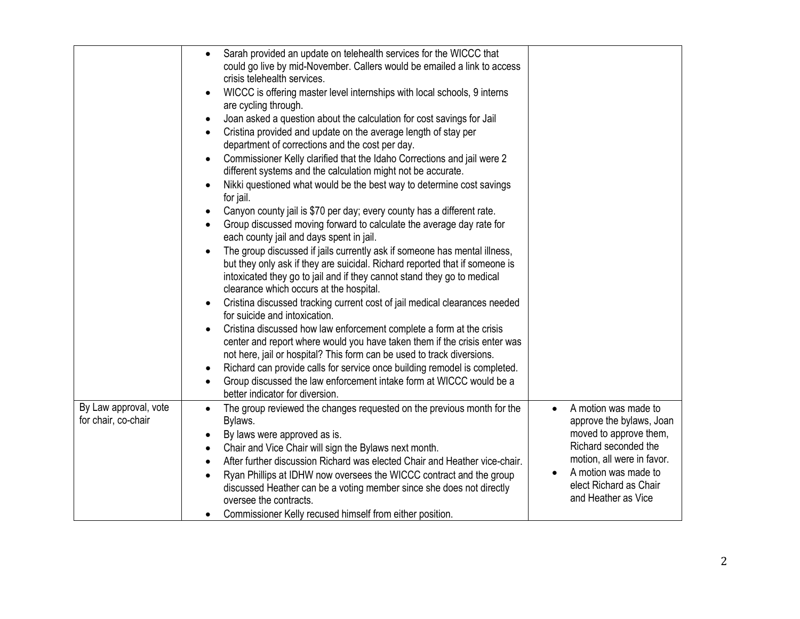|                                              | Sarah provided an update on telehealth services for the WICCC that<br>$\bullet$<br>could go live by mid-November. Callers would be emailed a link to access<br>crisis telehealth services.<br>WICCC is offering master level internships with local schools, 9 interns<br>$\bullet$<br>are cycling through.<br>Joan asked a question about the calculation for cost savings for Jail<br>$\bullet$<br>Cristina provided and update on the average length of stay per<br>department of corrections and the cost per day.<br>Commissioner Kelly clarified that the Idaho Corrections and jail were 2<br>$\bullet$<br>different systems and the calculation might not be accurate.<br>Nikki questioned what would be the best way to determine cost savings<br>$\bullet$<br>for jail.<br>Canyon county jail is \$70 per day; every county has a different rate.<br>$\bullet$<br>Group discussed moving forward to calculate the average day rate for<br>$\bullet$<br>each county jail and days spent in jail.<br>The group discussed if jails currently ask if someone has mental illness,<br>$\bullet$<br>but they only ask if they are suicidal. Richard reported that if someone is<br>intoxicated they go to jail and if they cannot stand they go to medical<br>clearance which occurs at the hospital.<br>Cristina discussed tracking current cost of jail medical clearances needed<br>$\bullet$<br>for suicide and intoxication.<br>Cristina discussed how law enforcement complete a form at the crisis<br>$\bullet$<br>center and report where would you have taken them if the crisis enter was<br>not here, jail or hospital? This form can be used to track diversions.<br>Richard can provide calls for service once building remodel is completed.<br>$\bullet$<br>Group discussed the law enforcement intake form at WICCC would be a<br>$\bullet$<br>better indicator for diversion. |                                                                                                                                                                                                           |
|----------------------------------------------|---------------------------------------------------------------------------------------------------------------------------------------------------------------------------------------------------------------------------------------------------------------------------------------------------------------------------------------------------------------------------------------------------------------------------------------------------------------------------------------------------------------------------------------------------------------------------------------------------------------------------------------------------------------------------------------------------------------------------------------------------------------------------------------------------------------------------------------------------------------------------------------------------------------------------------------------------------------------------------------------------------------------------------------------------------------------------------------------------------------------------------------------------------------------------------------------------------------------------------------------------------------------------------------------------------------------------------------------------------------------------------------------------------------------------------------------------------------------------------------------------------------------------------------------------------------------------------------------------------------------------------------------------------------------------------------------------------------------------------------------------------------------------------------------------------------------------------------------------------------------------------------------------|-----------------------------------------------------------------------------------------------------------------------------------------------------------------------------------------------------------|
| By Law approval, vote<br>for chair, co-chair | The group reviewed the changes requested on the previous month for the<br>$\bullet$<br>Bylaws.<br>By laws were approved as is.<br>$\bullet$<br>Chair and Vice Chair will sign the Bylaws next month.<br>$\bullet$<br>After further discussion Richard was elected Chair and Heather vice-chair.<br>$\bullet$<br>Ryan Phillips at IDHW now oversees the WICCC contract and the group<br>$\bullet$<br>discussed Heather can be a voting member since she does not directly<br>oversee the contracts.<br>Commissioner Kelly recused himself from either position.<br>$\bullet$                                                                                                                                                                                                                                                                                                                                                                                                                                                                                                                                                                                                                                                                                                                                                                                                                                                                                                                                                                                                                                                                                                                                                                                                                                                                                                                       | A motion was made to<br>approve the bylaws, Joan<br>moved to approve them,<br>Richard seconded the<br>motion, all were in favor.<br>A motion was made to<br>elect Richard as Chair<br>and Heather as Vice |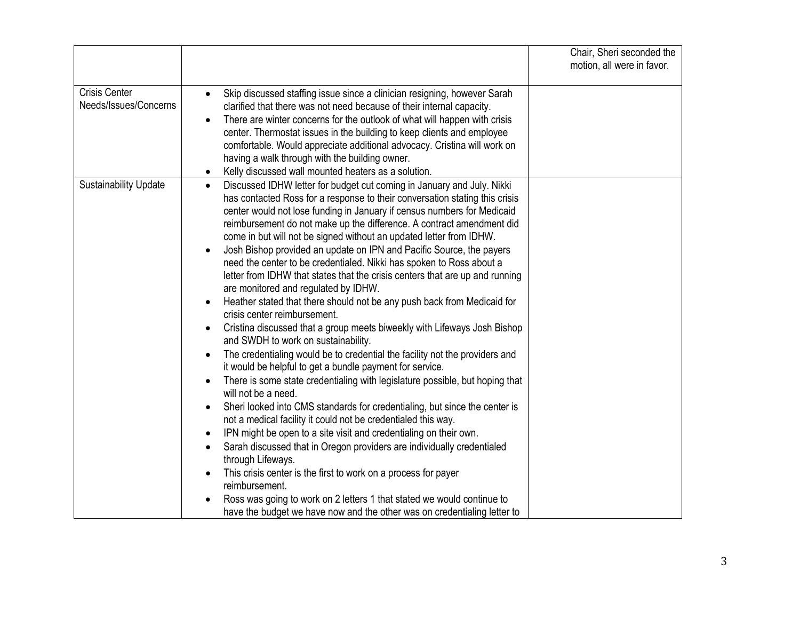|                                               |                                                                                                                                                                                                                                                                                                                                                                                                                                                                                                                                                                                                                                                                                                                                                                                                                                                                                                                                                                                                                                                                                                                                                                                                                                                                                                                                                                                                                                                                                                                                                                                                                                                                                                                                                                                                                            | Chair, Sheri seconded the<br>motion, all were in favor. |
|-----------------------------------------------|----------------------------------------------------------------------------------------------------------------------------------------------------------------------------------------------------------------------------------------------------------------------------------------------------------------------------------------------------------------------------------------------------------------------------------------------------------------------------------------------------------------------------------------------------------------------------------------------------------------------------------------------------------------------------------------------------------------------------------------------------------------------------------------------------------------------------------------------------------------------------------------------------------------------------------------------------------------------------------------------------------------------------------------------------------------------------------------------------------------------------------------------------------------------------------------------------------------------------------------------------------------------------------------------------------------------------------------------------------------------------------------------------------------------------------------------------------------------------------------------------------------------------------------------------------------------------------------------------------------------------------------------------------------------------------------------------------------------------------------------------------------------------------------------------------------------------|---------------------------------------------------------|
| <b>Crisis Center</b><br>Needs/Issues/Concerns | Skip discussed staffing issue since a clinician resigning, however Sarah<br>$\bullet$<br>clarified that there was not need because of their internal capacity.<br>There are winter concerns for the outlook of what will happen with crisis<br>$\bullet$<br>center. Thermostat issues in the building to keep clients and employee<br>comfortable. Would appreciate additional advocacy. Cristina will work on<br>having a walk through with the building owner.<br>Kelly discussed wall mounted heaters as a solution.<br>$\bullet$                                                                                                                                                                                                                                                                                                                                                                                                                                                                                                                                                                                                                                                                                                                                                                                                                                                                                                                                                                                                                                                                                                                                                                                                                                                                                       |                                                         |
| <b>Sustainability Update</b>                  | Discussed IDHW letter for budget cut coming in January and July. Nikki<br>$\bullet$<br>has contacted Ross for a response to their conversation stating this crisis<br>center would not lose funding in January if census numbers for Medicaid<br>reimbursement do not make up the difference. A contract amendment did<br>come in but will not be signed without an updated letter from IDHW.<br>Josh Bishop provided an update on IPN and Pacific Source, the payers<br>$\bullet$<br>need the center to be credentialed. Nikki has spoken to Ross about a<br>letter from IDHW that states that the crisis centers that are up and running<br>are monitored and regulated by IDHW.<br>Heather stated that there should not be any push back from Medicaid for<br>$\bullet$<br>crisis center reimbursement.<br>Cristina discussed that a group meets biweekly with Lifeways Josh Bishop<br>$\bullet$<br>and SWDH to work on sustainability.<br>The credentialing would be to credential the facility not the providers and<br>$\bullet$<br>it would be helpful to get a bundle payment for service.<br>There is some state credentialing with legislature possible, but hoping that<br>$\bullet$<br>will not be a need.<br>Sheri looked into CMS standards for credentialing, but since the center is<br>$\bullet$<br>not a medical facility it could not be credentialed this way.<br>IPN might be open to a site visit and credentialing on their own.<br>$\bullet$<br>Sarah discussed that in Oregon providers are individually credentialed<br>$\bullet$<br>through Lifeways.<br>This crisis center is the first to work on a process for payer<br>reimbursement.<br>Ross was going to work on 2 letters 1 that stated we would continue to<br>have the budget we have now and the other was on credentialing letter to |                                                         |